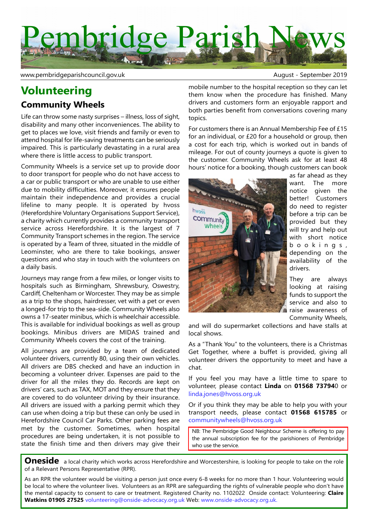

www.pembridgeparishcouncil.gov.uk and the september 2019

# **Volunteering**

### **Community Wheels**

Life can throw some nasty surprises – illness, loss of sight, disability and many other inconveniences. The ability to get to places we love, visit friends and family or even to attend hospital for life-saving treatments can be seriously impaired. This is particularly devastating in a rural area where there is little access to public transport.

Community Wheels is a service set up to provide door to door transport for people who do not have access to a car or public transport or who are unable to use either due to mobility difficulties. Moreover, it ensures people maintain their independence and provides a crucial lifeline to many people. It is operated by hvoss (Herefordshire Voluntary Organisations Support Service), a charity which currently provides a community transport service across Herefordshire. It is the largest of 7 Community Transport schemes in the region. The service is operated by a Team of three, situated in the middle of Leominster, who are there to take bookings, answer questions and who stay in touch with the volunteers on a daily basis.

Journeys may range from a few miles, or longer visits to hospitals such as Birmingham, Shrewsbury, Oswestry, Cardiff, Cheltenham or Worcester. They may be as simple as a trip to the shops, hairdresser, vet with a pet or even a longed-for trip to the sea-side. Community Wheels also owns a 17-seater minibus, which is wheelchair accessible. This is available for individual bookings as well as group bookings. Minibus drivers are MIDAS trained and Community Wheels covers the cost of the training.

All journeys are provided by a team of dedicated volunteer drivers, currently 80, using their own vehicles. All drivers are DBS checked and have an induction in becoming a volunteer driver. Expenses are paid to the driver for all the miles they do. Records are kept on drivers' cars, such as TAX, MOT and they ensure that they are covered to do volunteer driving by their insurance. All drivers are issued with a parking permit which they can use when doing a trip but these can only be used in Herefordshire Council Car Parks. Other parking fees are met by the customer. Sometimes, when hospital procedures are being undertaken, it is not possible to state the finish time and then drivers may give their

mobile number to the hospital reception so they can let them know when the procedure has finished. Many drivers and customers form an enjoyable rapport and both parties benefit from conversations covering many topics.

For customers there is an Annual Membership Fee of £15 for an individual, or £20 for a household or group, then a cost for each trip, which is worked out in bands of mileage. For out of county journeys a quote is given to the customer. Community Wheels ask for at least 48 hours' notice for a booking, though customers can book



as far ahead as they want. The more notice given the better! Customers do need to register before a trip can be provided but they will try and help out with short notice b o o k i n g s , depending on the availability of the drivers.

They are always looking at raising funds to support the service and also to raise awareness of Community Wheels,

and will do supermarket collections and have stalls at local shows.

As a "Thank You" to the volunteers, there is a Christmas Get Together, where a buffet is provided, giving all volunteer drivers the opportunity to meet and have a chat.

If you feel you may have a little time to spare to volunteer, please contact **Linda** on **01568 73794**0 or linda.jones@hvoss.org.uk

Or if you think they may be able to help you with your transport needs, please contact **01568 615785** or communitywheels@hvoss.org.uk

NB: The Pembridge Good Neighbour Scheme is offering to pay the annual subscription fee for the parishioners of Pembridge who use the service.

**Oneside** a local charity which works across Herefordshire and Worcestershire, is looking for people to take on the role of a Relevant Persons Representative (RPR).

As an RPR the volunteer would be visiting a person just once every 6-8 weeks for no more than 1 hour. Volunteering would be local to where the volunteer lives. Volunteers as an RPR are safeguarding the rights of vulnerable people who don't have the mental capacity to consent to care or treatment. Registered Charity no. 1102022 Onside contact: Volunteering: **Claire Watkins 01905 27525** volunteering@onside-advocacy.org.uk Web: www.onside-advocacy.org.uk.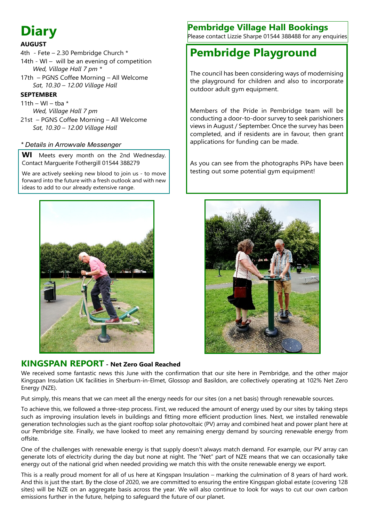# **Diary**

#### **AUGUST**

- 4th Fete 2.30 Pembridge Church \* 14th - WI – will be an evening of competition  *Wed, Village Hall 7 pm \**
- 17th PGNS Coffee Morning All Welcome  *Sat, 10.30 – 12.00 Village Hall*

#### **SEPTEMBER**

11th – WI – tha  $*$  *Wed, Village Hall 7 pm* 21st – PGNS Coffee Morning – All Welcome  *Sat, 10.30 – 12.00 Village Hall*

#### *\* Details in Arrowvale Messenger*

**WI** Meets every month on the 2nd Wednesday. Contact Marguerite Fothergill 01544 388279

We are actively seeking new blood to join us - to move forward into the future with a fresh outlook and with new ideas to add to our already extensive range.



### **KINGSPAN REPORT - Net Zero Goal Reached**

We received some fantastic news this June with the confirmation that our site here in Pembridge, and the other major Kingspan Insulation UK facilities in Sherburn-in-Elmet, Glossop and Basildon, are collectively operating at 102% Net Zero Energy (NZE).

Put simply, this means that we can meet all the energy needs for our sites (on a net basis) through renewable sources.

To achieve this, we followed a three-step process. First, we reduced the amount of energy used by our sites by taking steps such as improving insulation levels in buildings and fitting more efficient production lines. Next, we installed renewable generation technologies such as the giant rooftop solar photovoltaic (PV) array and combined heat and power plant here at our Pembridge site. Finally, we have looked to meet any remaining energy demand by sourcing renewable energy from offsite.

One of the challenges with renewable energy is that supply doesn't always match demand. For example, our PV array can generate lots of electricity during the day but none at night. The "Net" part of NZE means that we can occasionally take energy out of the national grid when needed providing we match this with the onsite renewable energy we export.

This is a really proud moment for all of us here at Kingspan Insulation – marking the culmination of 8 years of hard work. And this is just the start. By the close of 2020, we are committed to ensuring the entire Kingspan global estate (covering 128 sites) will be NZE on an aggregate basis across the year. We will also continue to look for ways to cut our own carbon emissions further in the future, helping to safeguard the future of our planet.

## **Pembridge Village Hall Bookings**

Please contact Lizzie Sharpe 01544 388488 for any enquiries

# **Pembridge Playground**

The council has been considering ways of modernising the playground for children and also to incorporate outdoor adult gym equipment.

Members of the Pride in Pembridge team will be conducting a door-to-door survey to seek parishioners views in August / September. Once the survey has been completed, and if residents are in favour, then grant applications for funding can be made.

As you can see from the photographs PiPs have been testing out some potential gym equipment!

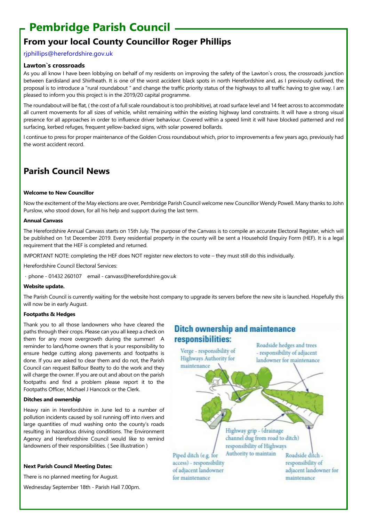# **Pembridge Parish Council**

# **From your local County Councillor Roger Phillips**

#### rjphillips@herefordshire.gov.uk

#### **Lawton`s crossroads**

As you all know I have been lobbying on behalf of my residents on improving the safety of the Lawton`s cross, the crossroads junction between Eardisland and Shirlheath. It is one of the worst accident black spots in north Herefordshire and, as I previously outlined, the proposal is to introduce a "rural roundabout " and change the traffic priority status of the highways to all traffic having to give way. I am pleased to inform you this project is in the 2019/20 capital programme.

The roundabout will be flat, ( the cost of a full scale roundabout is too prohibitive), at road surface level and 14 feet across to accommodate all current movements for all sizes of vehicle, whilst remaining within the existing highway land constraints. It will have a strong visual presence for all approaches in order to influence driver behaviour. Covered within a speed limit it will have blocked patterned and red surfacing, kerbed refuges, frequent yellow-backed signs, with solar powered bollards.

I continue to press for proper maintenance of the Golden Cross roundabout which, prior to improvements a few years ago, previously had the worst accident record.

### **Parish Council News**

#### **Welcome to New Councillor**

Now the excitement of the May elections are over, Pembridge Parish Council welcome new Councillor Wendy Powell. Many thanks to John Purslow, who stood down, for all his help and support during the last term.

#### **Annual Canvass**

The Herefordshire Annual Canvass starts on 15th July. The purpose of the Canvass is to compile an accurate Electoral Register, which will be published on 1st December 2019. Every residential property in the county will be sent a Household Enquiry Form (HEF). It is a legal requirement that the HEF is completed and returned.

IMPORTANT NOTE: completing the HEF does NOT register new electors to vote – they must still do this individually.

Herefordshire Council Electoral Services:

· phone ‐ 01432 260107 email ‐ canvass@herefordshire.gov.uk

#### **Website update.**

The Parish Council is currently waiting for the website host company to upgrade its servers before the new site is launched. Hopefully this will now be in early August.

#### **Footpaths & Hedges**

Thank you to all those landowners who have cleared the paths through their crops. Please can you all keep a check on them for any more overgrowth during the summer! A reminder to land/home owners that is your responsibility to ensure hedge cutting along pavements and footpaths is done. If you are asked to clear them and do not, the Parish Council can request Balfour Beatty to do the work and they will charge the owner. If you are out and about on the parish footpaths and find a problem please report it to the Footpaths Officer, Michael J Hancock or the Clerk.

#### **Ditches and ownership**

Heavy rain in Herefordshire in June led to a number of pollution incidents caused by soil running off into rivers and large quantities of mud washing onto the county's roads resulting in hazardous driving conditions. The Environment Agency and Herefordshire Council would like to remind landowners of their responsibilities. ( See illustration )

#### **Next Parish Council Meeting Dates:**

There is no planned meeting for August.

Wednesday September 18th - Parish Hall 7.00pm.

### **Ditch ownership and maintenance** responsibilities: